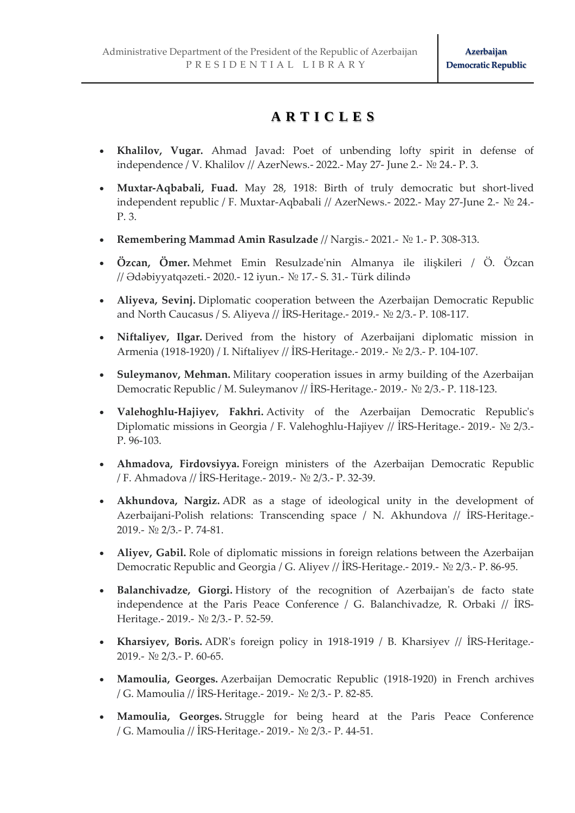## **A R T I C L E S**

- **Khalilov, Vugar.** Ahmad Javad: Poet of unbending lofty spirit in defense of independence / V. Khalilov // AzerNews.- 2022.- May 27- June 2.- № 24.- P. 3.
- **Muxtar-Aqbabali, Fuad.** May 28, 1918: Birth of truly democratic but short-lived independent republic / F. Muxtar-Aqbabali // AzerNews.- 2022.- May 27-June 2.- № 24.- P. 3.
- **Remembering Mammad Amin Rasulzade** // Nargis.- 2021.- № 1.- P. 308-313.
- **Özcan, Ömer.** Mehmet Emin Resulzade'nin Almanya ile ilişkileri / Ö. Özcan // Ədəbiyyatqəzeti.- 2020.- 12 iyun.- № 17.- S. 31.- Türk dilində
- **Aliyeva, Sevinj.** Diplomatic cooperation between the Azerbaijan Democratic Republic and North Caucasus / S. Aliyeva // İRS-Heritage.- 2019.- № 2/3.- P. 108-117.
- **Niftaliyev, Ilgar.** Derived from the history of Azerbaijani diplomatic mission in Armenia (1918-1920) / I. Niftaliyev // İRS-Heritage.- 2019.- № 2/3.- P. 104-107.
- **Suleymanov, Mehman.** Military cooperation issues in army building of the Azerbaijan Democratic Republic / M. Suleymanov // İRS-Heritage.- 2019.- № 2/3.- P. 118-123.
- **Valehoghlu-Hajiyev, Fakhri.** Activity of the Azerbaijan Democratic Republic's Diplomatic missions in Georgia / F. Valehoghlu-Hajiyev // İRS-Heritage.- 2019.- № 2/3.- P. 96-103.
- **Ahmadova, Firdovsiyya.** Foreign ministers of the Azerbaijan Democratic Republic / F. Ahmadova // İRS-Heritage.- 2019.- № 2/3.- P. 32-39.
- **Akhundova, Nargiz.** ADR as a stage of ideological unity in the development of Azerbaijani-Polish relations: Transcending space / N. Akhundova // İRS-Heritage.- 2019.- № 2/3.- P. 74-81.
- **Aliyev, Gabil.** Role of diplomatic missions in foreign relations between the Azerbaijan Democratic Republic and Georgia / G. Aliyev // İRS-Heritage.- 2019.- № 2/3.- P. 86-95.
- **Balanchivadze, Giorgi.** History of the recognition of Azerbaijan's de facto state independence at the Paris Peace Conference / G. Balanchivadze, R. Orbaki // İRS-Heritage.- 2019.- № 2/3.- P. 52-59.
- **Kharsiyev, Boris.** ADR's foreign policy in 1918-1919 / B. Kharsiyev // İRS-Heritage.- 2019.- № 2/3.- P. 60-65.
- **Mamoulia, Georges.** Azerbaijan Democratic Republic (1918-1920) in French archives / G. Mamoulia // İRS-Heritage.- 2019.- № 2/3.- P. 82-85.
- **Mamoulia, Georges.** Struggle for being heard at the Paris Peace Conference / G. Mamoulia // İRS-Heritage.- 2019.- № 2/3.- P. 44-51.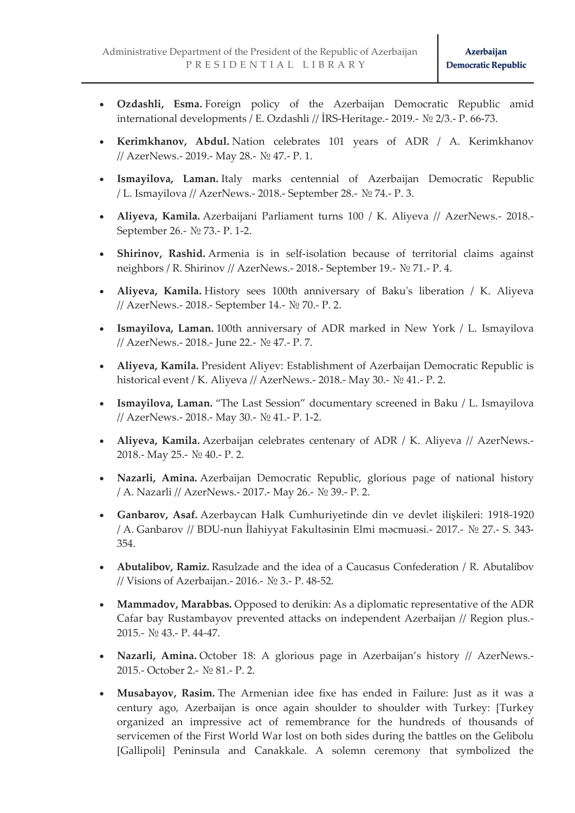- **Ozdashli, Esma.** Foreign policy of the Azerbaijan Democratic Republic amid international developments / E. Ozdashli // İRS-Heritage.- 2019.- № 2/3.- P. 66-73.
- **Kerimkhanov, Abdul.** Nation celebrates 101 years of ADR / A. Kerimkhanov // AzerNews.- 2019.- May 28.- № 47.- P. 1.
- **Ismayilova, Laman.** Italy marks centennial of Azerbaijan Democratic Republic / L. Ismayilova // AzerNews.- 2018.- September 28.- № 74.- P. 3.
- **Aliyeva, Kamila.** Azerbaijani Parliament turns 100 / K. Aliyeva // AzerNews.- 2018.- September 26.- № 73.- P. 1-2.
- **Shirinov, Rashid.** Armenia is in self-isolation because of territorial claims against neighbors / R. Shirinov // AzerNews.- 2018.- September 19.- № 71.- P. 4.
- **Aliyeva, Kamila.** History sees 100th anniversary of Baku's liberation / K. Aliyeva // AzerNews.- 2018.- September 14.- № 70.- P. 2.
- **Ismayilova, Laman.** 100th anniversary of ADR marked in New York / L. Ismayilova // AzerNews.- 2018.- June 22.- № 47.- P. 7.
- **Aliyeva, Kamila.** President Aliyev: Establishment of Azerbaijan Democratic Republic is historical event / K. Aliyeva // AzerNews.- 2018.- May 30.- № 41.- P. 2.
- **Ismayilova, Laman.** "The Last Session" documentary screened in Baku / L. Ismayilova // AzerNews.- 2018.- May 30.- № 41.- P. 1-2.
- **Aliyeva, Kamila.** Azerbaijan celebrates centenary of ADR / K. Aliyeva // AzerNews.- 2018.- May 25.- № 40.- P. 2.
- **Nazarli, Amina.** Azerbaijan Democratic Republic, glorious page of national history / A. Nazarli // AzerNews.- 2017.- May 26.- № 39.- P. 2.
- **Ganbarov, Asaf.** Azerbaycan Halk Cumhuriyetinde din ve devlet ilişkileri: 1918-1920 / A. Ganbarov // BDU-nun İlahiyyat Fakultəsinin Elmi məcmuəsi.- 2017.- № 27.- S. 343- 354.
- **Abutalibov, Ramiz.** Rasulzade and the idea of a Caucasus Confederation / R. Abutalibov // Visions of Azerbaijan.- 2016.- № 3.- P. 48-52.
- **Mammadov, Marabbas.** Opposed to denikin: As a diplomatic representative of the ADR Cafar bay Rustambayov prevented attacks on independent Azerbaijan // Region plus.- 2015.- № 43.- P. 44-47.
- **Nazarli, Amina.** October 18: A glorious page in Azerbaijan's history // AzerNews.- 2015.- October 2.- № 81.- P. 2.
- **Musabayov, Rasim.** The Armenian idee fixe has ended in Failure: Just as it was a century ago, Azerbaijan is once again shoulder to shoulder with Turkey: [Turkey organized an impressive act of remembrance for the hundreds of thousands of servicemen of the First World War lost on both sides during the battles on the Gelibolu [Gallipoli] Peninsula and Canakkale. A solemn ceremony that symbolized the